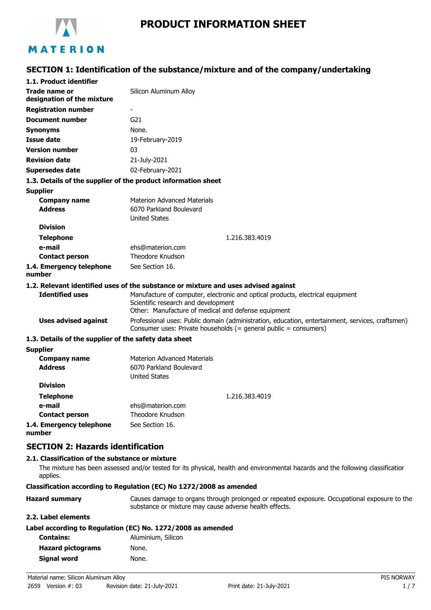

# **PRODUCT INFORMATION SHEET**

# **SECTION 1: Identification of the substance/mixture and of the company/undertaking**

| 1.1. Product identifier                                       |                                                                                                                                                                              |
|---------------------------------------------------------------|------------------------------------------------------------------------------------------------------------------------------------------------------------------------------|
| Trade name or<br>designation of the mixture                   | Silicon Aluminum Alloy                                                                                                                                                       |
| <b>Registration number</b>                                    |                                                                                                                                                                              |
| <b>Document number</b>                                        | G <sub>21</sub>                                                                                                                                                              |
| <b>Synonyms</b>                                               | None.                                                                                                                                                                        |
| Issue date                                                    | 19-February-2019                                                                                                                                                             |
| <b>Version number</b>                                         | 03                                                                                                                                                                           |
| <b>Revision date</b>                                          | 21-July-2021                                                                                                                                                                 |
| <b>Supersedes date</b>                                        | 02-February-2021                                                                                                                                                             |
| 1.3. Details of the supplier of the product information sheet |                                                                                                                                                                              |
| <b>Supplier</b>                                               |                                                                                                                                                                              |
| <b>Company name</b><br><b>Address</b>                         | <b>Materion Advanced Materials</b><br>6070 Parkland Boulevard                                                                                                                |
| <b>Division</b>                                               | <b>United States</b>                                                                                                                                                         |
|                                                               |                                                                                                                                                                              |
| <b>Telephone</b><br>e-mail                                    | 1.216.383.4019                                                                                                                                                               |
| <b>Contact person</b>                                         | ehs@materion.com<br>Theodore Knudson                                                                                                                                         |
| 1.4. Emergency telephone<br>number                            | See Section 16.                                                                                                                                                              |
|                                                               | 1.2. Relevant identified uses of the substance or mixture and uses advised against                                                                                           |
| <b>Identified uses</b>                                        | Manufacture of computer, electronic and optical products, electrical equipment<br>Scientific research and development<br>Other: Manufacture of medical and defense equipment |
| <b>Uses advised against</b>                                   | Professional uses: Public domain (administration, education, entertainment, services, craftsmen)<br>Consumer uses: Private households (= general public = consumers)         |
| 1.3. Details of the supplier of the safety data sheet         |                                                                                                                                                                              |
| <b>Supplier</b>                                               |                                                                                                                                                                              |
| <b>Company name</b><br><b>Address</b>                         | <b>Materion Advanced Materials</b><br>6070 Parkland Boulevard<br><b>United States</b>                                                                                        |
| <b>Division</b>                                               |                                                                                                                                                                              |
| <b>Telephone</b>                                              | 1.216.383.4019                                                                                                                                                               |
| e-mail                                                        | ehs@materion.com                                                                                                                                                             |
| <b>Contact person</b>                                         | Theodore Knudson                                                                                                                                                             |
| 1.4. Emergency telephone                                      | See Section 16.                                                                                                                                                              |

**number**

## **SECTION 2: Hazards identification**

#### **2.1. Classification of the substance or mixture**

The mixture has been assessed and/or tested for its physical, health and environmental hazards and the following classification applies.

#### **Classification according to Regulation (EC) No 1272/2008 as amended**

| <b>Hazard summary</b> | Causes damage to organs through prolonged or repeated exposure. Occupational exposure to the |
|-----------------------|----------------------------------------------------------------------------------------------|
|                       | substance or mixture may cause adverse health effects.                                       |

#### **2.2. Label elements**

| Label according to Regulation (EC) No. 1272/2008 as amended |  |  |
|-------------------------------------------------------------|--|--|
|-------------------------------------------------------------|--|--|

| Aluminium, Silicon |
|--------------------|
| None.              |
| None.              |
|                    |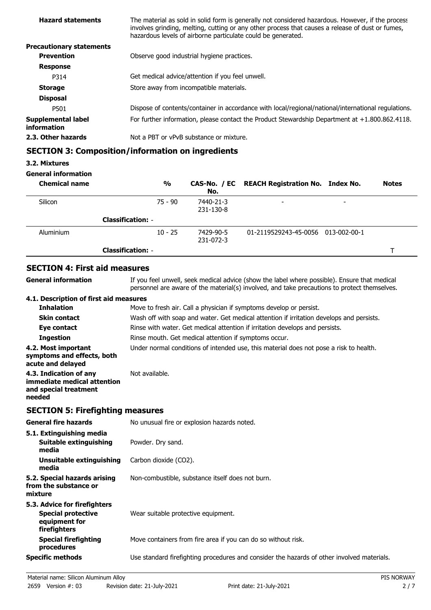| <b>Hazard statements</b>          | The material as sold in solid form is generally not considered hazardous. However, if the process<br>involves grinding, melting, cutting or any other process that causes a release of dust or fumes,<br>hazardous levels of airborne particulate could be generated. |
|-----------------------------------|-----------------------------------------------------------------------------------------------------------------------------------------------------------------------------------------------------------------------------------------------------------------------|
| <b>Precautionary statements</b>   |                                                                                                                                                                                                                                                                       |
| <b>Prevention</b>                 | Observe good industrial hygiene practices.                                                                                                                                                                                                                            |
| <b>Response</b>                   |                                                                                                                                                                                                                                                                       |
| P314                              | Get medical advice/attention if you feel unwell.                                                                                                                                                                                                                      |
| <b>Storage</b>                    | Store away from incompatible materials.                                                                                                                                                                                                                               |
| <b>Disposal</b>                   |                                                                                                                                                                                                                                                                       |
| P501                              | Dispose of contents/container in accordance with local/regional/national/international regulations.                                                                                                                                                                   |
| Supplemental label<br>information | For further information, please contact the Product Stewardship Department at $+1.800.862.4118$ .                                                                                                                                                                     |
| 2.3. Other hazards                | Not a PBT or vPvB substance or mixture.                                                                                                                                                                                                                               |
|                                   |                                                                                                                                                                                                                                                                       |

# **SECTION 3: Composition/information on ingredients**

### **3.2. Mixtures**

#### **General information**

| <b>Chemical name</b> |                          | $\frac{0}{0}$ | No.                    | CAS-No. / EC REACH Registration No. Index No. |                          | <b>Notes</b> |
|----------------------|--------------------------|---------------|------------------------|-----------------------------------------------|--------------------------|--------------|
| Silicon              |                          | $75 - 90$     | 7440-21-3<br>231-130-8 |                                               | $\overline{\phantom{0}}$ |              |
|                      | <b>Classification: -</b> |               |                        |                                               |                          |              |
| Aluminium            |                          | $10 - 25$     | 7429-90-5<br>231-072-3 | 01-2119529243-45-0056 013-002-00-1            |                          |              |
|                      | <b>Classification: -</b> |               |                        |                                               |                          |              |

# **SECTION 4: First aid measures**

| General information                                                                      | If you feel unwell, seek medical advice (show the label where possible). Ensure that medical<br>personnel are aware of the material(s) involved, and take precautions to protect themselves. |
|------------------------------------------------------------------------------------------|----------------------------------------------------------------------------------------------------------------------------------------------------------------------------------------------|
| 4.1. Description of first aid measures                                                   |                                                                                                                                                                                              |
| <b>Inhalation</b>                                                                        | Move to fresh air. Call a physician if symptoms develop or persist.                                                                                                                          |
| <b>Skin contact</b>                                                                      | Wash off with soap and water. Get medical attention if irritation develops and persists.                                                                                                     |
| Eye contact                                                                              | Rinse with water. Get medical attention if irritation develops and persists.                                                                                                                 |
| <b>Ingestion</b>                                                                         | Rinse mouth. Get medical attention if symptoms occur.                                                                                                                                        |
| 4.2. Most important<br>symptoms and effects, both<br>acute and delayed                   | Under normal conditions of intended use, this material does not pose a risk to health.                                                                                                       |
| 4.3. Indication of any<br>immediate medical attention<br>and special treatment<br>needed | Not available.                                                                                                                                                                               |
|                                                                                          |                                                                                                                                                                                              |

# **SECTION 5: Firefighting measures**

| <b>General fire hazards</b>                                                                | No unusual fire or explosion hazards noted.                                                |
|--------------------------------------------------------------------------------------------|--------------------------------------------------------------------------------------------|
| 5.1. Extinguishing media<br>Suitable extinguishing<br>media                                | Powder. Dry sand.                                                                          |
| Unsuitable extinguishing<br>media                                                          | Carbon dioxide (CO2).                                                                      |
| 5.2. Special hazards arising<br>from the substance or<br>mixture                           | Non-combustible, substance itself does not burn.                                           |
| 5.3. Advice for firefighters<br><b>Special protective</b><br>equipment for<br>firefighters | Wear suitable protective equipment.                                                        |
| <b>Special firefighting</b><br>procedures                                                  | Move containers from fire area if you can do so without risk.                              |
| <b>Specific methods</b>                                                                    | Use standard firefighting procedures and consider the hazards of other involved materials. |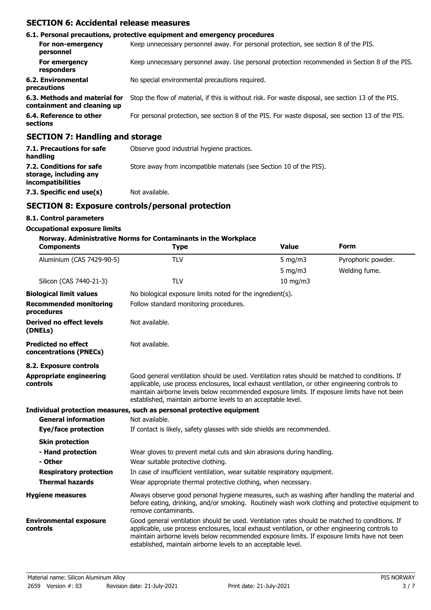## **SECTION 6: Accidental release measures**

|                                                              | 6.1. Personal precautions, protective equipment and emergency procedures                           |
|--------------------------------------------------------------|----------------------------------------------------------------------------------------------------|
| For non-emergency<br>personnel                               | Keep unnecessary personnel away. For personal protection, see section 8 of the PIS.                |
| For emergency<br>responders                                  | Keep unnecessary personnel away. Use personal protection recommended in Section 8 of the PIS.      |
| 6.2. Environmental<br>precautions                            | No special environmental precautions required.                                                     |
| 6.3. Methods and material for<br>containment and cleaning up | Stop the flow of material, if this is without risk. For waste disposal, see section 13 of the PIS. |
| 6.4. Reference to other<br>sections                          | For personal protection, see section 8 of the PIS. For waste disposal, see section 13 of the PIS.  |
| CECTION 7: Handling and storage                              |                                                                                                    |

### **SECTION 7: Handling and storage**

| 7.1. Precautions for safe<br>handling                                          | Observe good industrial hygiene practices.                          |
|--------------------------------------------------------------------------------|---------------------------------------------------------------------|
| 7.2. Conditions for safe<br>storage, including any<br><i>incompatibilities</i> | Store away from incompatible materials (see Section 10 of the PIS). |
| 7.3. Specific end use(s)                                                       | Not available.                                                      |

## **SECTION 8: Exposure controls/personal protection**

#### **8.1. Control parameters**

#### **Occupational exposure limits**

#### **Norway. Administrative Norms for Contaminants in the Workplace**

| <b>Components</b>                                    | <b>Type</b>                                                                                                                                                                                                                                                                                                                                                        | <b>Value</b>  | <b>Form</b>        |  |  |
|------------------------------------------------------|--------------------------------------------------------------------------------------------------------------------------------------------------------------------------------------------------------------------------------------------------------------------------------------------------------------------------------------------------------------------|---------------|--------------------|--|--|
| Aluminium (CAS 7429-90-5)                            | <b>TLV</b>                                                                                                                                                                                                                                                                                                                                                         | 5 mg/m $3$    | Pyrophoric powder. |  |  |
|                                                      |                                                                                                                                                                                                                                                                                                                                                                    | $5$ mg/m $3$  | Welding fume.      |  |  |
| Silicon (CAS 7440-21-3)                              | <b>TLV</b>                                                                                                                                                                                                                                                                                                                                                         | $10$ mg/m $3$ |                    |  |  |
| <b>Biological limit values</b>                       | No biological exposure limits noted for the ingredient(s).                                                                                                                                                                                                                                                                                                         |               |                    |  |  |
| <b>Recommended monitoring</b><br>procedures          | Follow standard monitoring procedures.                                                                                                                                                                                                                                                                                                                             |               |                    |  |  |
| <b>Derived no effect levels</b><br>(DNELs)           | Not available.                                                                                                                                                                                                                                                                                                                                                     |               |                    |  |  |
| <b>Predicted no effect</b><br>concentrations (PNECs) | Not available.                                                                                                                                                                                                                                                                                                                                                     |               |                    |  |  |
| 8.2. Exposure controls                               |                                                                                                                                                                                                                                                                                                                                                                    |               |                    |  |  |
| <b>Appropriate engineering</b><br>controls           | Good general ventilation should be used. Ventilation rates should be matched to conditions. If<br>applicable, use process enclosures, local exhaust ventilation, or other engineering controls to<br>maintain airborne levels below recommended exposure limits. If exposure limits have not been<br>established, maintain airborne levels to an acceptable level. |               |                    |  |  |
|                                                      | Individual protection measures, such as personal protective equipment                                                                                                                                                                                                                                                                                              |               |                    |  |  |
| <b>General information</b>                           | Not available.                                                                                                                                                                                                                                                                                                                                                     |               |                    |  |  |
| Eye/face protection                                  | If contact is likely, safety glasses with side shields are recommended.                                                                                                                                                                                                                                                                                            |               |                    |  |  |
| <b>Skin protection</b>                               |                                                                                                                                                                                                                                                                                                                                                                    |               |                    |  |  |
| - Hand protection                                    | Wear gloves to prevent metal cuts and skin abrasions during handling.                                                                                                                                                                                                                                                                                              |               |                    |  |  |
| - Other                                              | Wear suitable protective clothing.                                                                                                                                                                                                                                                                                                                                 |               |                    |  |  |
| <b>Respiratory protection</b>                        | In case of insufficient ventilation, wear suitable respiratory equipment.                                                                                                                                                                                                                                                                                          |               |                    |  |  |
| <b>Thermal hazards</b>                               | Wear appropriate thermal protective clothing, when necessary.                                                                                                                                                                                                                                                                                                      |               |                    |  |  |
| <b>Hygiene measures</b>                              | Always observe good personal hygiene measures, such as washing after handling the material and<br>before eating, drinking, and/or smoking. Routinely wash work clothing and protective equipment to<br>remove contaminants.                                                                                                                                        |               |                    |  |  |
| <b>Environmental exposure</b><br>controls            | Good general ventilation should be used. Ventilation rates should be matched to conditions. If<br>applicable, use process enclosures, local exhaust ventilation, or other engineering controls to<br>maintain airborne levels below recommended exposure limits. If exposure limits have not been<br>established, maintain airborne levels to an acceptable level. |               |                    |  |  |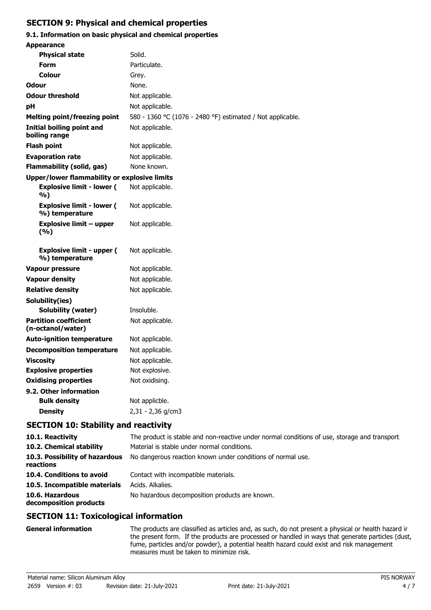# **SECTION 9: Physical and chemical properties**

# **9.1. Information on basic physical and chemical properties**

| <b>Appearance</b>                                   |                                                            |
|-----------------------------------------------------|------------------------------------------------------------|
| <b>Physical state</b>                               | Solid.                                                     |
| Form                                                | Particulate.                                               |
| Colour                                              | Grey.                                                      |
| Odour                                               | None.                                                      |
| <b>Odour threshold</b>                              | Not applicable.                                            |
| рH                                                  | Not applicable.                                            |
| <b>Melting point/freezing point</b>                 | 580 - 1360 °C (1076 - 2480 °F) estimated / Not applicable. |
| Initial boiling point and<br>boiling range          | Not applicable.                                            |
| <b>Flash point</b>                                  | Not applicable.                                            |
| <b>Evaporation rate</b>                             | Not applicable.                                            |
| <b>Flammability (solid, gas)</b>                    | None known.                                                |
| <b>Upper/lower flammability or explosive limits</b> |                                                            |
| <b>Explosive limit - lower (</b><br>%)              | Not applicable.                                            |
| <b>Explosive limit - lower (</b><br>%) temperature  | Not applicable.                                            |
| Explosive limit – upper<br>(%)                      | Not applicable.                                            |
| <b>Explosive limit - upper (</b><br>%) temperature  | Not applicable.                                            |
| <b>Vapour pressure</b>                              | Not applicable.                                            |
| <b>Vapour density</b>                               | Not applicable.                                            |
| <b>Relative density</b>                             | Not applicable.                                            |
| Solubility(ies)                                     |                                                            |
| Solubility (water)                                  | Insoluble.                                                 |
| <b>Partition coefficient</b><br>(n-octanol/water)   | Not applicable.                                            |
| <b>Auto-ignition temperature</b>                    | Not applicable.                                            |
| <b>Decomposition temperature</b>                    | Not applicable.                                            |
| <b>Viscosity</b>                                    | Not applicable.                                            |
| <b>Explosive properties</b>                         | Not explosive.                                             |
| <b>Oxidising properties</b>                         | Not oxidising.                                             |
| 9.2. Other information                              |                                                            |
| <b>Bulk density</b>                                 | Not applicble.                                             |
| <b>Density</b>                                      | 2,31 - 2,36 g/cm3                                          |
|                                                     |                                                            |

# **SECTION 10: Stability and reactivity**

| 10.1. Reactivity                            | The product is stable and non-reactive under normal conditions of use, storage and transport |  |
|---------------------------------------------|----------------------------------------------------------------------------------------------|--|
| 10.2. Chemical stability                    | Material is stable under normal conditions.                                                  |  |
| 10.3. Possibility of hazardous<br>reactions | No dangerous reaction known under conditions of normal use.                                  |  |
| 10.4. Conditions to avoid                   | Contact with incompatible materials.                                                         |  |
| 10.5. Incompatible materials                | Acids. Alkalies.                                                                             |  |
| 10.6. Hazardous<br>decomposition products   | No hazardous decomposition products are known.                                               |  |
| $C = C + C + C$                             |                                                                                              |  |

### **SECTION 11: Toxicological information**

| <b>General information</b> | The products are classified as articles and, as such, do not present a physical or health hazard ir<br>the present form. If the products are processed or handled in ways that generate particles (dust, |
|----------------------------|----------------------------------------------------------------------------------------------------------------------------------------------------------------------------------------------------------|
|                            | fume, particles and/or powder), a potential health hazard could exist and risk management<br>measures must be taken to minimize risk.                                                                    |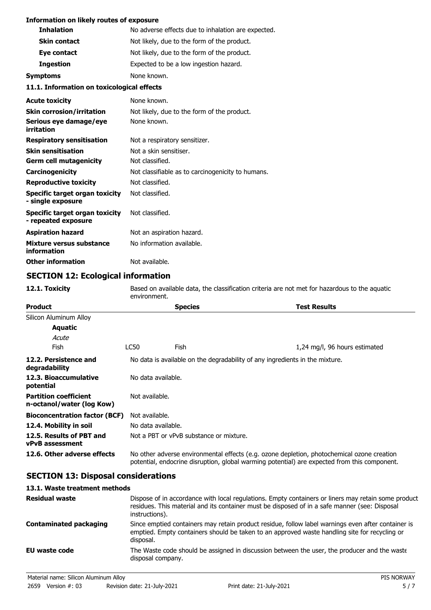#### **Information on likely routes of exposure**

| <b>Inhalation</b>                                     | No adverse effects due to inhalation are expected. |
|-------------------------------------------------------|----------------------------------------------------|
| <b>Skin contact</b>                                   | Not likely, due to the form of the product.        |
| Eye contact                                           | Not likely, due to the form of the product.        |
| <b>Ingestion</b>                                      | Expected to be a low ingestion hazard.             |
| <b>Symptoms</b>                                       | None known.                                        |
| 11.1. Information on toxicological effects            |                                                    |
| <b>Acute toxicity</b>                                 | None known.                                        |
| <b>Skin corrosion/irritation</b>                      | Not likely, due to the form of the product.        |
| Serious eye damage/eye<br>irritation                  | None known.                                        |
| <b>Respiratory sensitisation</b>                      | Not a respiratory sensitizer.                      |
| <b>Skin sensitisation</b>                             | Not a skin sensitiser.                             |
| <b>Germ cell mutagenicity</b>                         | Not classified.                                    |
| Carcinogenicity                                       | Not classifiable as to carcinogenicity to humans.  |
| <b>Reproductive toxicity</b>                          | Not classified.                                    |
| Specific target organ toxicity<br>- single exposure   | Not classified.                                    |
| Specific target organ toxicity<br>- repeated exposure | Not classified.                                    |
| <b>Aspiration hazard</b>                              | Not an aspiration hazard.                          |
| Mixture versus substance<br>information               | No information available.                          |

**Other information** Not available.

# **SECTION 12: Ecological information**

**12.1. Toxicity** Based on available data, the classification criteria are not met for hazardous to the aquatic environment.

| <b>Product</b>                                            | <b>Species</b>                                                                                                                                                                             |                                         | Test Results                  |
|-----------------------------------------------------------|--------------------------------------------------------------------------------------------------------------------------------------------------------------------------------------------|-----------------------------------------|-------------------------------|
| Silicon Aluminum Alloy                                    |                                                                                                                                                                                            |                                         |                               |
| Aquatic                                                   |                                                                                                                                                                                            |                                         |                               |
| Acute                                                     |                                                                                                                                                                                            |                                         |                               |
| Fish                                                      | LC50                                                                                                                                                                                       | Fish                                    | 1,24 mg/l, 96 hours estimated |
| 12.2. Persistence and<br>degradability                    | No data is available on the degradability of any ingredients in the mixture.                                                                                                               |                                         |                               |
| 12.3. Bioaccumulative<br>potential                        | No data available.                                                                                                                                                                         |                                         |                               |
| <b>Partition coefficient</b><br>n-octanol/water (log Kow) | Not available.                                                                                                                                                                             |                                         |                               |
| <b>Bioconcentration factor (BCF)</b>                      | Not available.                                                                                                                                                                             |                                         |                               |
| 12.4. Mobility in soil                                    | No data available.                                                                                                                                                                         |                                         |                               |
| 12.5. Results of PBT and<br><b>vPvB</b> assessment        |                                                                                                                                                                                            | Not a PBT or vPvB substance or mixture. |                               |
| 12.6. Other adverse effects                               | No other adverse environmental effects (e.g. ozone depletion, photochemical ozone creation<br>potential, endocrine disruption, global warming potential) are expected from this component. |                                         |                               |

### **SECTION 13: Disposal considerations**

#### **13.1. Waste treatment methods**

| <b>Residual waste</b>         | Dispose of in accordance with local regulations. Empty containers or liners may retain some product<br>residues. This material and its container must be disposed of in a safe manner (see: Disposal<br>instructions). |
|-------------------------------|------------------------------------------------------------------------------------------------------------------------------------------------------------------------------------------------------------------------|
| <b>Contaminated packaging</b> | Since emptied containers may retain product residue, follow label warnings even after container is<br>emptied. Empty containers should be taken to an approved waste handling site for recycling or<br>disposal.       |
| EU waste code                 | The Waste code should be assigned in discussion between the user, the producer and the waste<br>disposal company.                                                                                                      |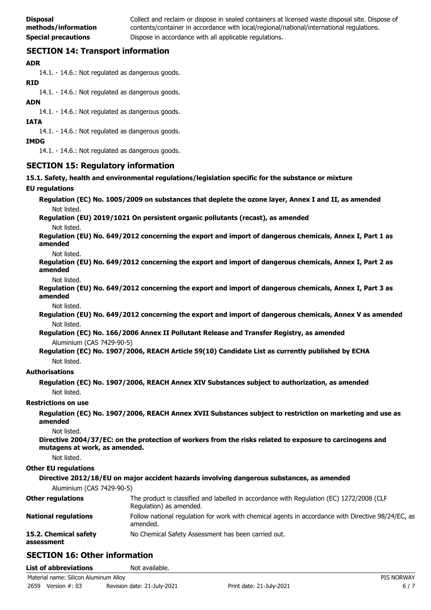Collect and reclaim or dispose in sealed containers at licensed waste disposal site. Dispose of contents/container in accordance with local/regional/national/international regulations. **Special precautions Dispose in accordance with all applicable regulations.** 

# **SECTION 14: Transport information**

#### **ADR**

14.1. - 14.6.: Not regulated as dangerous goods.

#### **RID**

14.1. - 14.6.: Not regulated as dangerous goods.

#### **ADN**

14.1. - 14.6.: Not regulated as dangerous goods.

#### **IATA**

14.1. - 14.6.: Not regulated as dangerous goods.

#### **IMDG**

14.1. - 14.6.: Not regulated as dangerous goods.

### **SECTION 15: Regulatory information**

**15.1. Safety, health and environmental regulations/legislation specific for the substance or mixture**

#### **EU regulations**

**Regulation (EC) No. 1005/2009 on substances that deplete the ozone layer, Annex I and II, as amended** Not listed.

**Regulation (EU) 2019/1021 On persistent organic pollutants (recast), as amended**

Not listed.

**Regulation (EU) No. 649/2012 concerning the export and import of dangerous chemicals, Annex I, Part 1 as amended**

#### Not listed.

**Regulation (EU) No. 649/2012 concerning the export and import of dangerous chemicals, Annex I, Part 2 as amended**

Not listed.

**Regulation (EU) No. 649/2012 concerning the export and import of dangerous chemicals, Annex I, Part 3 as amended**

Not listed.

**Regulation (EU) No. 649/2012 concerning the export and import of dangerous chemicals, Annex V as amended** Not listed.

**Regulation (EC) No. 166/2006 Annex II Pollutant Release and Transfer Registry, as amended** Aluminium (CAS 7429-90-5)

**Regulation (EC) No. 1907/2006, REACH Article 59(10) Candidate List as currently published by ECHA** Not listed.

#### **Authorisations**

**Regulation (EC) No. 1907/2006, REACH Annex XIV Substances subject to authorization, as amended** Not listed.

#### **Restrictions on use**

**Regulation (EC) No. 1907/2006, REACH Annex XVII Substances subject to restriction on marketing and use as amended**

Not listed.

**Directive 2004/37/EC: on the protection of workers from the risks related to exposure to carcinogens and mutagens at work, as amended.**

Not listed.

#### **Other EU regulations**

| Aluminium (CAS 7429-90-5)   | Directive 2012/18/EU on major accident hazards involving dangerous substances, as amended                           |
|-----------------------------|---------------------------------------------------------------------------------------------------------------------|
| <b>Other regulations</b>    | The product is classified and labelled in accordance with Regulation (EC) 1272/2008 (CLP<br>Regulation) as amended. |
| <b>National regulations</b> | Follow national regulation for work with chemical agents in accordance with Directive 98/24/EC, as<br>amended.      |
| 15.2. Chemical safety       | No Chemical Safety Assessment has been carried out.                                                                 |

### **assessment**

# **SECTION 16: Other information**

**List of abbreviations** Not available.